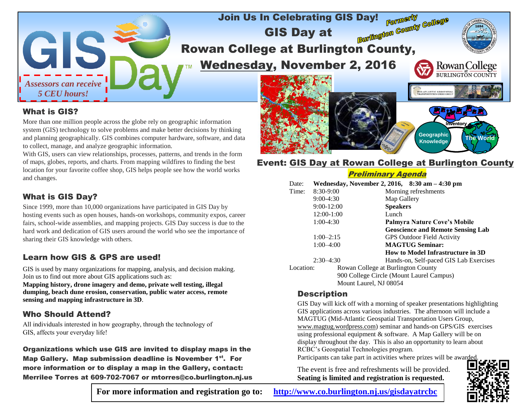

### What is GIS?

More than one million people across the globe rely on geographic information system (GIS) technology to solve problems and make better decisions by thinking and planning geographically. GIS combines computer hardware, software, and data to collect, manage, and analyze geographic information.

With GIS, users can view relationships, processes, patterns, and trends in the form of maps, globes, reports, and charts. From mapping wildfires to finding the best location for your favorite coffee shop, GIS helps people see how the world works and changes.

## What is GIS Day?

Since 1999, more than 10,000 organizations have participated in GIS Day by hosting events such as open houses, hands-on workshops, community expos, career fairs, school-wide assemblies, and mapping projects. GIS Day success is due to the hard work and dedication of GIS users around the world who see the importance of sharing their GIS knowledge with others.

### Learn how GIS & GPS are used!

GIS is used by many organizations for mapping, analysis, and decision making. Join us to find out more about GIS applications such as:

**Mapping history, drone imagery and demo, private well testing, illegal dumping, beach dune erosion, conservation, public water access, remote sensing and mapping infrastructure in 3D**.

### Who Should Attend?

All individuals interested in how geography, through the technology of GIS, affects your everyday life!

Organizations which use GIS are invited to display maps in the Map Gallery. Map submission deadline is November 1<sup>st</sup>. For more information or to display a map in the Gallery, contact: Merrilee Torres at 609-702-7067 or mtorres@co.burlington.nj.us

# **Event: GIS Day at Rowan College at Burlington County**

**Inventory**

**The World Geographic**

**Knowledge**

#### Preliminary Agenda

| Date:                                    |                | Wednesday, November 2, 2016, 8:30 am - 4:30 pm |  |  |  |  |
|------------------------------------------|----------------|------------------------------------------------|--|--|--|--|
| Time:                                    | $8:30-9:00$    | Morning refreshments                           |  |  |  |  |
|                                          | $9:00-4:30$    | Map Gallery                                    |  |  |  |  |
|                                          | $9:00 - 12:00$ | <b>Speakers</b>                                |  |  |  |  |
|                                          | 12:00-1:00     | Lunch                                          |  |  |  |  |
| $1:00-4:30$                              |                | Palmyra Nature Cove's Mobile                   |  |  |  |  |
|                                          |                | <b>Geoscience and Remote Sensing Lab</b>       |  |  |  |  |
| $1:00-2:15$<br>$1:00 - 4:00$             |                | <b>GPS Outdoor Field Activity</b>              |  |  |  |  |
|                                          |                | <b>MAGTUG Seminar:</b>                         |  |  |  |  |
|                                          |                | How to Model Infrastructure in 3D              |  |  |  |  |
| $2:30-4:30$                              |                | Hands-on, Self-paced GIS Lab Exercises         |  |  |  |  |
| Location:                                |                | Rowan College at Burlington County             |  |  |  |  |
| 900 College Circle (Mount Laurel Campus) |                |                                                |  |  |  |  |
| Mount Laurel, NJ 08054                   |                |                                                |  |  |  |  |

### **Description**

GIS Day will kick off with a morning of speaker presentations highlighting GIS applications across various industries. The afternoon will include a MAGTUG (Mid-Atlantic Geospatial Transportation Users Group, www.magtug.wordpress.com) seminar and hands-on GPS/GIS exercises using professional equipment & software. A Map Gallery will be on display throughout the day. This is also an opportunity to learn about RCBC's Geospatial Technologies program.

Participants can take part in activities where prizes will be awarded.

The event is free and refreshments will be provided. **Seating is limited and registration is requested.**



**For more information and registration go to: <http://www.co.burlington.nj.us/gisdayatrcbc>**